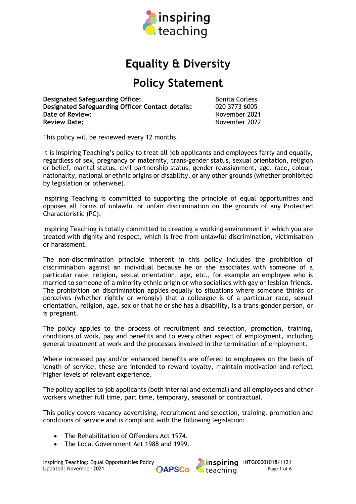

# **Equality & Diversity**

# **Policy Statement**

**Designated Safeguarding Office:** Bonita Corless **Designated Safeguarding Officer Contact details:** 020 3773 6005 **Date of Review:**<br> **Review Date:**<br> **Review Date:**<br> **November 2022** 

**Review Date:** November 2022

This policy will be reviewed every 12 months.

It is Inspiring Teaching's policy to treat all job applicants and employees fairly and equally, regardless of sex, pregnancy or maternity, trans-gender status, sexual orientation, religion or belief, marital status, civil partnership status, gender reassignment, age, race, colour, nationality, national or ethnic origins or disability, or any other grounds (whether prohibited by legislation or otherwise).

Inspiring Teaching is committed to supporting the principle of equal opportunities and opposes all forms of unlawful or unfair discrimination on the grounds of any Protected Characteristic (PC).

Inspiring Teaching is totally committed to creating a working environment in which you are treated with dignity and respect, which is free from unlawful [discrimination,](http://www.fsa.gov.uk/pages/library/other_publications/staff/staff_handbook/working/equal/index.shtml#dis#dis) [victimisation](http://www.fsa.gov.uk/pages/library/other_publications/staff/staff_handbook/working/equal/index.shtml#vic#vic) or [harassment.](http://www.fsa.gov.uk/pages/library/other_publications/staff/staff_handbook/working/equal/index.shtml#har#har)

The non-discrimination principle inherent in this policy includes the prohibition of discrimination against an individual because he or she associates with someone of a particular race, religion, sexual orientation, age, etc., for example an employee who is married to someone of a minority ethnic origin or who socialises with gay or lesbian friends. The prohibition on discrimination applies equally to situations where someone thinks or perceives (whether rightly or wrongly) that a colleague is of a particular race, sexual orientation, religion, age, sex or that he or she has a disability, is a trans-gender person, or is pregnant.

The policy applies to the process of recruitment and selection, promotion, training, conditions of work, pay and benefits and to every other aspect of employment, including general treatment at work and the processes involved in the termination of employment.

Where increased pay and/or enhanced benefits are offered to employees on the basis of length of service, these are intended to reward loyalty, maintain motivation and reflect higher levels of relevant experience.

The policy applies to job applicants (both internal and external) and all employees and other workers whether full time, part time, temporary, seasonal or contractual.

This policy covers vacancy advertising, recruitment and selection, training, promotion and conditions of service and is compliant with the following legislation:

- The Rehabilitation of Offenders Act 1974.
- The Local Government Act 1988 and 1999.

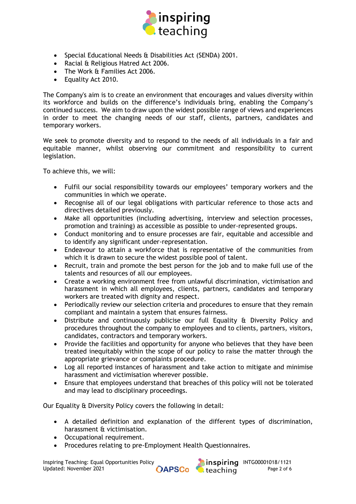

- Special Educational Needs & Disabilities Act (SENDA) 2001.
- Racial & Religious Hatred Act 2006.
- The Work & Families Act 2006.
- Equality Act 2010.

The Company's aim is to create an environment that encourages and values diversity within its workforce and builds on the difference's individuals bring, enabling the Company's continued success. We aim to draw upon the widest possible range of views and experiences in order to meet the changing needs of our staff, clients, partners, candidates and temporary workers.

We seek to promote diversity and to respond to the needs of all individuals in a fair and equitable manner, whilst observing our commitment and responsibility to current legislation.

To achieve this, we will:

- Fulfil our social responsibility towards our employees' temporary workers and the communities in which we operate.
- Recognise all of our legal obligations with particular reference to those acts and directives detailed previously.
- Make all opportunities (including advertising, interview and selection processes, promotion and training) as accessible as possible to under-represented groups.
- Conduct monitoring and to ensure processes are fair, equitable and accessible and to identify any significant under-representation.
- Endeavour to attain a workforce that is representative of the communities from which it is drawn to secure the widest possible pool of talent.
- Recruit, train and promote the best person for the job and to make full use of the talents and resources of all our employees.
- Create a working environment free from unlawful discrimination, victimisation and harassment in which all employees, clients, partners, candidates and temporary workers are treated with dignity and respect.
- Periodically review our selection criteria and procedures to ensure that they remain compliant and maintain a system that ensures fairness.
- Distribute and continuously publicise our full Equality & Diversity Policy and procedures throughout the company to employees and to clients, partners, visitors, candidates, contractors and temporary workers.
- Provide the facilities and opportunity for anyone who believes that they have been treated inequitably within the scope of our policy to raise the matter through the appropriate grievance or complaints procedure.
- Log all reported instances of harassment and take action to mitigate and minimise harassment and victimisation wherever possible.
- Ensure that employees understand that breaches of this policy will not be tolerated and may lead to disciplinary proceedings.

Our Equality & Diversity Policy covers the following in detail:

- A detailed definition and explanation of the different types of discrimination, harassment & victimisation.
- Occupational requirement.
- Procedures relating to pre-Employment Health Questionnaires.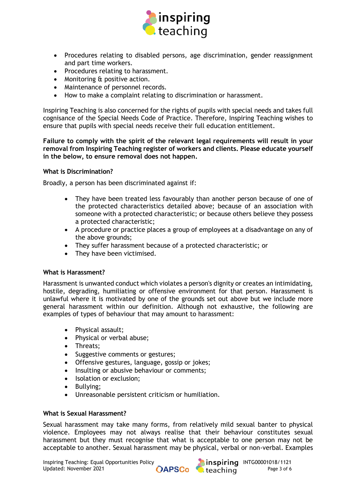

- Procedures relating to disabled persons, age discrimination, gender reassignment and part time workers.
- Procedures relating to harassment.
- Monitoring & positive action.
- Maintenance of personnel records.
- How to make a complaint relating to discrimination or harassment.

Inspiring Teaching is also concerned for the rights of pupils with special needs and takes full cognisance of the Special Needs Code of Practice. Therefore, Inspiring Teaching wishes to ensure that pupils with special needs receive their full education entitlement.

**Failure to comply with the spirit of the relevant legal requirements will result in your removal from Inspiring Teaching register of workers and clients. Please educate yourself in the below, to ensure removal does not happen.**

### **What is Discrimination?**

Broadly, a person has been discriminated against if:

- They have been treated less favourably than another person because of one of the protected characteristics detailed above; because of an association with someone with a protected characteristic; or because others believe they possess a protected characteristic;
- A procedure or practice places a group of employees at a disadvantage on any of the above [grounds;](http://www.fsa.gov.uk/pages/library/other_publications/staff/staff_handbook/working/equal/index.shtml#gro#gro)
- They suffer harassment because of a protected characteristic; or
- They have been victimised.

#### **What is Harassment?**

Harassment is unwanted conduct which violates a person's dignity or creates an intimidating, hostile, degrading, humiliating or offensive environment for that person. Harassment is unlawful where it is motivated by one of the [grounds](http://www.fsa.gov.uk/pages/library/other_publications/staff/staff_handbook/working/equal/index.shtml#gro#gro) set out above but we include more general harassment within our definition. Although not exhaustive, the following are examples of types of behaviour that may amount to harassment:

- Physical assault;
- Physical or verbal abuse;
- Threats;
- Suggestive comments or gestures;
- Offensive gestures, language, gossip or jokes;
- Insulting or abusive behaviour or comments;
- Isolation or exclusion;
- Bullying;
- Unreasonable persistent criticism or humiliation.

#### **What is Sexual Harassment?**

Sexual harassment may take many forms, from relatively mild sexual banter to physical violence. Employees may not always realise that their behaviour constitutes sexual harassment but they must recognise that what is acceptable to one person may not be acceptable to another. Sexual harassment may be physical, verbal or non-verbal. Examples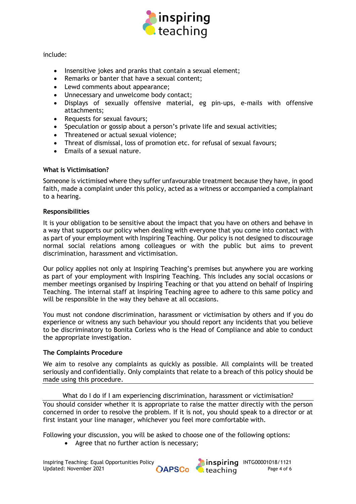

## include:

- Insensitive jokes and pranks that contain a sexual element;
- Remarks or banter that have a sexual content;
- Lewd comments about appearance;
- Unnecessary and unwelcome body contact;
- Displays of sexually offensive material, eg pin-ups, e-mails with offensive attachments;
- Requests for sexual favours;
- Speculation or gossip about a person's private life and sexual activities;
- Threatened or actual sexual violence;
- Threat of dismissal, loss of promotion etc. for refusal of sexual favours;
- Emails of a sexual nature.

## **What is Victimisation?**

Someone is victimised where they suffer unfavourable treatment because they have, in good faith, made a complaint under this policy, acted as a witness or accompanied a complainant to a hearing.

## **Responsibilities**

It is your obligation to be sensitive about the impact that you have on others and behave in a way that supports our policy when dealing with everyone that you come into contact with as part of your employment with Inspiring Teaching. Our policy is not designed to discourage normal social relations among colleagues or with the public but aims to prevent [discrimination,](http://www.fsa.gov.uk/pages/library/other_publications/staff/staff_handbook/working/equal/index.shtml#dis#dis) [harassment](http://www.fsa.gov.uk/pages/library/other_publications/staff/staff_handbook/working/equal/index.shtml#har#har) and [victimisation.](http://www.fsa.gov.uk/pages/library/other_publications/staff/staff_handbook/working/equal/index.shtml#vic#vic)

Our policy applies not only at Inspiring Teaching's premises but anywhere you are working as part of your employment with Inspiring Teaching. This includes any social occasions or member meetings organised by Inspiring Teaching or that you attend on behalf of Inspiring Teaching. The internal staff at Inspiring Teaching agree to adhere to this same policy and will be responsible in the way they behave at all occasions.

You must not condone discrimination, harassment or victimisation by others and if you do experience or witness any such behaviour you should report any incidents that you believe to be discriminatory to Bonita Corless who is the Head of Compliance and able to conduct the appropriate investigation.

# **The Complaints Procedure**

We aim to resolve any complaints as quickly as possible. All complaints will be treated seriously and confidentially. Only complaints that relate to a breach of this policy should be made using this procedure.

What do I do if I am experiencing discrimination, harassment or victimisation? You should consider whether it is appropriate to raise the matter directly with the person concerned in order to resolve the problem. If it is not, you should speak to a director or at first instant your line manager, whichever you feel more comfortable with.

Following your discussion, you will be asked to choose one of the following options:

• Agree that no further action is necessary;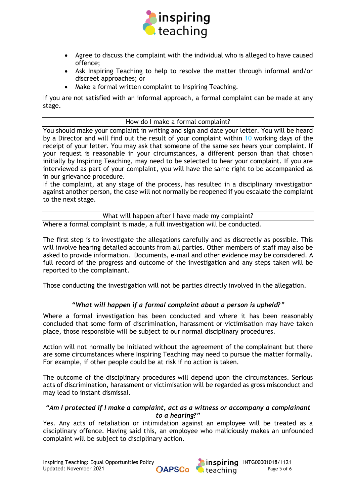

- Agree to discuss the complaint with the individual who is alleged to have caused offence;
- Ask Inspiring Teaching to help to resolve the matter through informal and/or discreet approaches; or
- Make a formal written complaint to Inspiring Teaching.

If you are not satisfied with an informal approach, a formal complaint can be made at any stage.

## How do I make a formal complaint?

You should make your complaint in writing and sign and date your letter. You will be heard by a Director and will find out the result of your complaint within 10 working days of the receipt of your letter. You may ask that someone of the same sex hears your complaint. If your request is reasonable in your circumstances, a different person than that chosen initially by Inspiring Teaching, may need to be selected to hear your complaint. If you are interviewed as part of your complaint, you will have the same right to be accompanied as in our grievance procedure.

If the complaint, at any stage of the process, has resulted in a disciplinary investigation against another person, the case will not normally be reopened if you escalate the complaint to the next stage.

What will happen after I have made my complaint?

Where a formal complaint is made, a full investigation will be conducted.

The first step is to investigate the allegations carefully and as discreetly as possible. This will involve hearing detailed accounts from all parties. Other members of staff may also be asked to provide information. Documents, e-mail and other evidence may be considered. A full record of the progress and outcome of the investigation and any steps taken will be reported to the complainant.

Those conducting the investigation will not be parties directly involved in the allegation.

# *"What will happen if a formal complaint about a person is upheld?"*

Where a formal investigation has been conducted and where it has been reasonably concluded that some form of [discrimination,](http://www.fsa.gov.uk/pages/library/other_publications/staff/staff_handbook/working/equal/index.shtml#dis#dis) [harassment](http://www.fsa.gov.uk/pages/library/other_publications/staff/staff_handbook/working/equal/index.shtml#har#har) or [victimisation](http://www.fsa.gov.uk/pages/library/other_publications/staff/staff_handbook/working/equal/index.shtml#vic#vic) may have taken place, those responsible will be subject to our normal [disciplinary procedures.](http://www.fsa.gov.uk/pages/Library/Other_publications/Staff/staff_handbook/wrong/disciplinary/index.shtml)

Action will not normally be initiated without the agreement of the complainant but there are some circumstances where Inspiring Teaching may need to pursue the matter formally. For example, if other people could be at risk if no action is taken.

The outcome of the disciplinary procedures will depend upon the circumstances. Serious acts of discrimination, harassment or victimisation will be regarded as gross misconduct and may lead to instant dismissal.

## *"Am I protected if I make a complaint, act as a witness or accompany a complainant to a hearing?"*

Yes. Any acts of retaliation or intimidation against an employee will be treated as a disciplinary offence. Having said this, an employee who maliciously makes an unfounded complaint will be subject to disciplinary action.